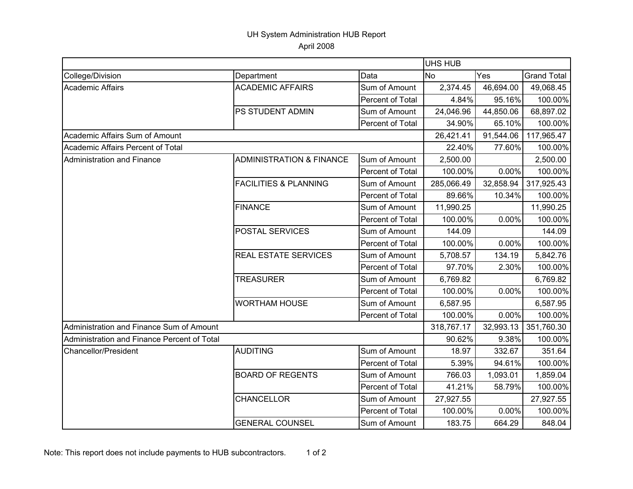## UH System Administration HUB Report April 2008

|                                             |                                     |                  | <b>UHS HUB</b> |           |                    |  |
|---------------------------------------------|-------------------------------------|------------------|----------------|-----------|--------------------|--|
| College/Division                            | Department                          | Data             | <b>No</b>      | Yes       | <b>Grand Total</b> |  |
| Academic Affairs                            | <b>ACADEMIC AFFAIRS</b>             | Sum of Amount    | 2,374.45       | 46,694.00 | 49,068.45          |  |
|                                             |                                     | Percent of Total | 4.84%          | 95.16%    | 100.00%            |  |
|                                             | PS STUDENT ADMIN                    | Sum of Amount    | 24,046.96      | 44,850.06 | 68,897.02          |  |
|                                             |                                     | Percent of Total | 34.90%         | 65.10%    | 100.00%            |  |
| Academic Affairs Sum of Amount              |                                     |                  | 26,421.41      | 91,544.06 | 117,965.47         |  |
| Academic Affairs Percent of Total           |                                     |                  | 22.40%         | 77.60%    | 100.00%            |  |
| Administration and Finance                  | <b>ADMINISTRATION &amp; FINANCE</b> | Sum of Amount    | 2,500.00       |           | 2,500.00           |  |
|                                             |                                     | Percent of Total | 100.00%        | 0.00%     | 100.00%            |  |
|                                             | <b>FACILITIES &amp; PLANNING</b>    | Sum of Amount    | 285,066.49     | 32,858.94 | 317,925.43         |  |
|                                             |                                     | Percent of Total | 89.66%         | 10.34%    | 100.00%            |  |
|                                             | <b>FINANCE</b>                      | Sum of Amount    | 11,990.25      |           | 11,990.25          |  |
|                                             |                                     | Percent of Total | 100.00%        | 0.00%     | 100.00%            |  |
|                                             | POSTAL SERVICES                     | Sum of Amount    | 144.09         |           | 144.09             |  |
|                                             |                                     | Percent of Total | 100.00%        | 0.00%     | 100.00%            |  |
|                                             | REAL ESTATE SERVICES                | Sum of Amount    | 5,708.57       | 134.19    | 5,842.76           |  |
|                                             |                                     | Percent of Total | 97.70%         | 2.30%     | 100.00%            |  |
|                                             | <b>TREASURER</b>                    | Sum of Amount    | 6,769.82       |           | 6,769.82           |  |
|                                             |                                     | Percent of Total | 100.00%        | 0.00%     | 100.00%            |  |
|                                             | <b>WORTHAM HOUSE</b>                | Sum of Amount    | 6,587.95       |           | 6,587.95           |  |
|                                             |                                     | Percent of Total | 100.00%        | 0.00%     | 100.00%            |  |
| Administration and Finance Sum of Amount    |                                     |                  | 318,767.17     | 32,993.13 | 351,760.30         |  |
| Administration and Finance Percent of Total |                                     |                  | 90.62%         | 9.38%     | 100.00%            |  |
| <b>Chancellor/President</b>                 | <b>AUDITING</b>                     | Sum of Amount    | 18.97          | 332.67    | 351.64             |  |
|                                             |                                     | Percent of Total | 5.39%          | 94.61%    | 100.00%            |  |
|                                             | <b>BOARD OF REGENTS</b>             | Sum of Amount    | 766.03         | 1,093.01  | 1,859.04           |  |
|                                             |                                     | Percent of Total | 41.21%         | 58.79%    | 100.00%            |  |
|                                             | <b>CHANCELLOR</b>                   | Sum of Amount    | 27,927.55      |           | 27,927.55          |  |
|                                             |                                     | Percent of Total | 100.00%        | 0.00%     | 100.00%            |  |
|                                             | <b>GENERAL COUNSEL</b>              | Sum of Amount    | 183.75         | 664.29    | 848.04             |  |